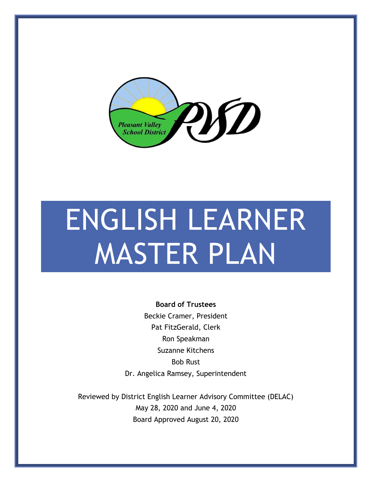

# ENGLISH LEARNER MASTER PLAN

**Board of Trustees** Beckie Cramer, President Pat FitzGerald, Clerk Ron Speakman Suzanne Kitchens Bob Rust Dr. Angelica Ramsey, Superintendent

Reviewed by District English Learner Advisory Committee (DELAC) May 28, 2020 and June 4, 2020 Board Approved August 20, 2020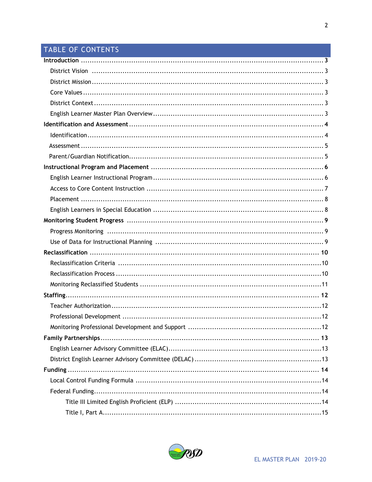### TABLE OF CONTENTS

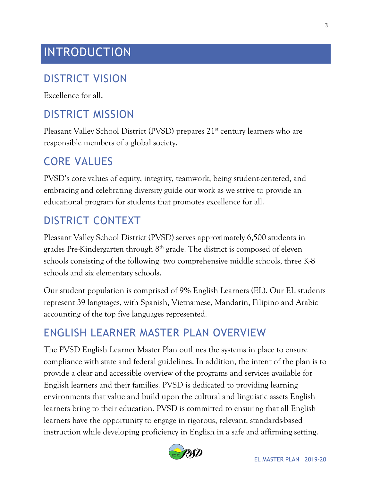# INTRODUCTION

#### DISTRICT VISION

Excellence for all.

#### DISTRICT MISSION

Pleasant Valley School District (PVSD) prepares 21<sup>st</sup> century learners who are responsible members of a global society.

#### CORE VALUES

PVSD's core values of equity, integrity, teamwork, being student-centered, and embracing and celebrating diversity guide our work as we strive to provide an educational program for students that promotes excellence for all.

#### DISTRICT CONTEXT

Pleasant Valley School District (PVSD) serves approximately 6,500 students in grades Pre-Kindergarten through 8th grade. The district is composed of eleven schools consisting of the following: two comprehensive middle schools, three K-8 schools and six elementary schools.

Our student population is comprised of 9% English Learners (EL). Our EL students represent 39 languages, with Spanish, Vietnamese, Mandarin, Filipino and Arabic accounting of the top five languages represented.

#### ENGLISH LEARNER MASTER PLAN OVERVIEW

The PVSD English Learner Master Plan outlines the systems in place to ensure compliance with state and federal guidelines. In addition, the intent of the plan is to provide a clear and accessible overview of the programs and services available for English learners and their families. PVSD is dedicated to providing learning environments that value and build upon the cultural and linguistic assets English learners bring to their education. PVSD is committed to ensuring that all English learners have the opportunity to engage in rigorous, relevant, standards-based instruction while developing proficiency in English in a safe and affirming setting.

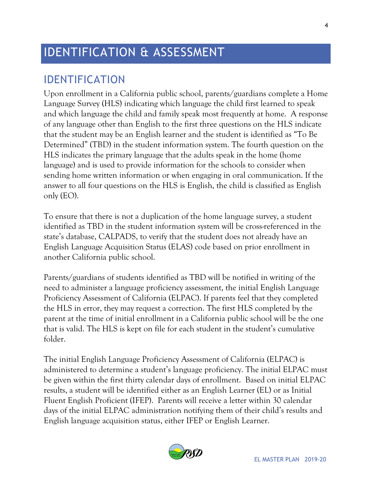# IDENTIFICATION & ASSESSMENT

#### IDENTIFICATION

Upon enrollment in a California public school, parents/guardians complete a Home Language Survey (HLS) indicating which language the child first learned to speak and which language the child and family speak most frequently at home. A response of any language other than English to the first three questions on the HLS indicate that the student may be an English learner and the student is identified as "To Be Determined" (TBD) in the student information system. The fourth question on the HLS indicates the primary language that the adults speak in the home (home language) and is used to provide information for the schools to consider when sending home written information or when engaging in oral communication. If the answer to all four questions on the HLS is English, the child is classified as English only (EO).

To ensure that there is not a duplication of the home language survey, a student identified as TBD in the student information system will be cross-referenced in the state's database, CALPADS, to verify that the student does not already have an English Language Acquisition Status (ELAS) code based on prior enrollment in another California public school.

Parents/guardians of students identified as TBD will be notified in writing of the need to administer a language proficiency assessment, the initial English Language Proficiency Assessment of California (ELPAC). If parents feel that they completed the HLS in error, they may request a correction. The first HLS completed by the parent at the time of initial enrollment in a California public school will be the one that is valid. The HLS is kept on file for each student in the student's cumulative folder.

The initial English Language Proficiency Assessment of California (ELPAC) is administered to determine a student's language proficiency. The initial ELPAC must be given within the first thirty calendar days of enrollment. Based on initial ELPAC results, a student will be identified either as an English Learner (EL) or as Initial Fluent English Proficient (IFEP). Parents will receive a letter within 30 calendar days of the initial ELPAC administration notifying them of their child's results and English language acquisition status, either IFEP or English Learner.

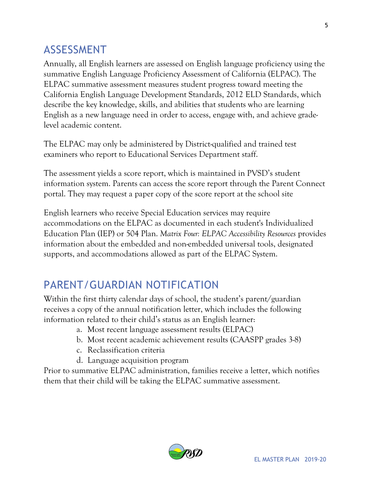#### ASSESSMENT

Annually, all English learners are assessed on English language proficiency using the summative English Language Proficiency Assessment of California (ELPAC). The ELPAC summative assessment measures student progress toward meeting the California English Language Development Standards, 2012 ELD Standards, which describe the key knowledge, skills, and abilities that students who are learning English as a new language need in order to access, engage with, and achieve gradelevel academic content.

The ELPAC may only be administered by District-qualified and trained test examiners who report to Educational Services Department staff.

The assessment yields a score report, which is maintained in PVSD's student information system. Parents can access the score report through the Parent Connect portal. They may request a paper copy of the score report at the school site

English learners who receive Special Education services may require accommodations on the ELPAC as documented in each student's Individualized Education Plan (IEP) or 504 Plan. *Matrix Four: ELPAC Accessibility Resources* provides information about the embedded and non-embedded universal tools, designated supports, and accommodations allowed as part of the ELPAC System.

# PARENT/GUARDIAN NOTIFICATION

Within the first thirty calendar days of school, the student's parent/guardian receives a copy of the annual notification letter, which includes the following information related to their child's status as an English learner:

- a. Most recent language assessment results (ELPAC)
- b. Most recent academic achievement results (CAASPP grades 3-8)
- c. Reclassification criteria
- d. Language acquisition program

Prior to summative ELPAC administration, families receive a letter, which notifies them that their child will be taking the ELPAC summative assessment.

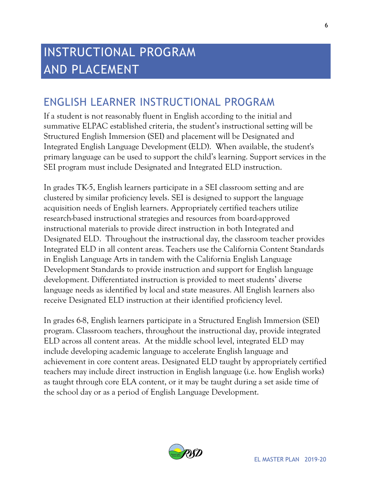# INSTRUCTIONAL PROGRAM AND PLACEMENT

#### ENGLISH LEARNER INSTRUCTIONAL PROGRAM

If a student is not reasonably fluent in English according to the initial and summative ELPAC established criteria, the student's instructional setting will be Structured English Immersion (SEI) and placement will be Designated and Integrated English Language Development (ELD). When available, the student's primary language can be used to support the child's learning. Support services in the SEI program must include Designated and Integrated ELD instruction.

In grades TK-5, English learners participate in a SEI classroom setting and are clustered by similar proficiency levels. SEI is designed to support the language acquisition needs of English learners. Appropriately certified teachers utilize research-based instructional strategies and resources from board-approved instructional materials to provide direct instruction in both Integrated and Designated ELD. Throughout the instructional day, the classroom teacher provides Integrated ELD in all content areas. Teachers use the California Content Standards in English Language Arts in tandem with the California English Language Development Standards to provide instruction and support for English language development. Differentiated instruction is provided to meet students' diverse language needs as identified by local and state measures. All English learners also receive Designated ELD instruction at their identified proficiency level.

In grades 6-8, English learners participate in a Structured English Immersion (SEI) program. Classroom teachers, throughout the instructional day, provide integrated ELD across all content areas. At the middle school level, integrated ELD may include developing academic language to accelerate English language and achievement in core content areas. Designated ELD taught by appropriately certified teachers may include direct instruction in English language (i.e. how English works) as taught through core ELA content, or it may be taught during a set aside time of the school day or as a period of English Language Development.

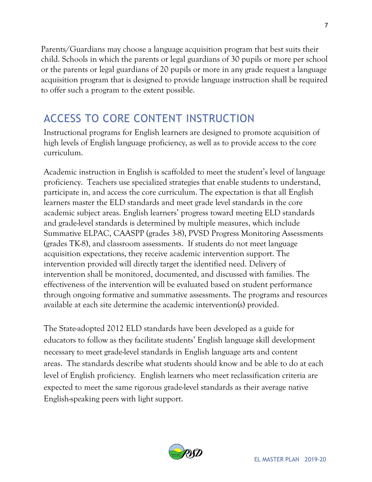Parents/Guardians may choose a language acquisition program that best suits their child. Schools in which the parents or legal guardians of 30 pupils or more per school or the parents or legal guardians of 20 pupils or more in any grade request a language acquisition program that is designed to provide language instruction shall be required to offer such a program to the extent possible.

# ACCESS TO CORE CONTENT INSTRUCTION

Instructional programs for English learners are designed to promote acquisition of high levels of English language proficiency, as well as to provide access to the core curriculum.

Academic instruction in English is scaffolded to meet the student's level of language proficiency. Teachers use specialized strategies that enable students to understand, participate in, and access the core curriculum. The expectation is that all English learners master the ELD standards and meet grade level standards in the core academic subject areas. English learners' progress toward meeting ELD standards and grade-level standards is determined by multiple measures, which include Summative ELPAC, CAASPP (grades 3-8), PVSD Progress Monitoring Assessments (grades TK-8), and classroom assessments. If students do not meet language acquisition expectations, they receive academic intervention support. The intervention provided will directly target the identified need. Delivery of intervention shall be monitored, documented, and discussed with families. The effectiveness of the intervention will be evaluated based on student performance through ongoing formative and summative assessments. The programs and resources available at each site determine the academic intervention(s) provided.

The State-adopted 2012 ELD standards have been developed as a guide for educators to follow as they facilitate students' English language skill development necessary to meet grade-level standards in English language arts and content areas. The standards describe what students should know and be able to do at each level of English proficiency. English learners who meet reclassification criteria are expected to meet the same rigorous grade-level standards as their average native English-speaking peers with light support.



7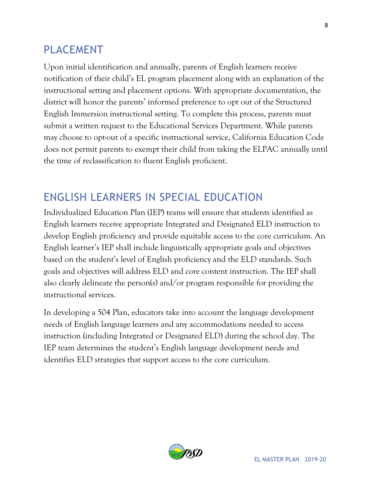#### PLACEMENT

Upon initial identification and annually, parents of English learners receive notification of their child's EL program placement along with an explanation of the instructional setting and placement options. With appropriate documentation, the district will honor the parents' informed preference to opt out of the Structured English Immersion instructional setting. To complete this process, parents must submit a written request to the Educational Services Department. While parents may choose to opt-out of a specific instructional service, California Education Code does not permit parents to exempt their child from taking the ELPAC annually until the time of reclassification to fluent English proficient.

## ENGLISH LEARNERS IN SPECIAL EDUCATION

Individualized Education Plan (IEP) teams will ensure that students identified as English learners receive appropriate Integrated and Designated ELD instruction to develop English proficiency and provide equitable access to the core curriculum. An English learner's IEP shall include linguistically appropriate goals and objectives based on the student's level of English proficiency and the ELD standards. Such goals and objectives will address ELD and core content instruction. The IEP shall also clearly delineate the person(s) and/or program responsible for providing the instructional services.

In developing a 504 Plan, educators take into account the language development needs of English language learners and any accommodations needed to access instruction (including Integrated or Designated ELD) during the school day. The IEP team determines the student's English language development needs and identifies ELD strategies that support access to the core curriculum.

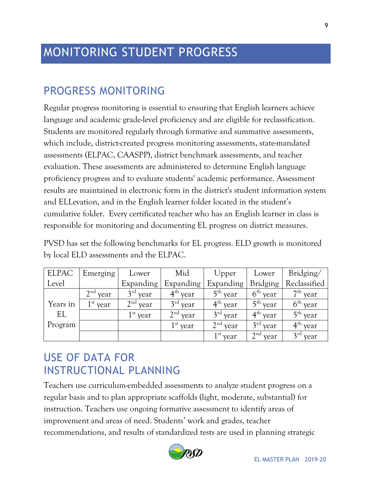# MONITORING STUDENT PROGRESS

#### PROGRESS MONITORING

Regular progress monitoring is essential to ensuring that English learners achieve language and academic grade-level proficiency and are eligible for reclassification. Students are monitored regularly through formative and summative assessments, which include, district-created progress monitoring assessments, state-mandated assessments (ELPAC, CAASPP), district benchmark assessments, and teacher evaluation. These assessments are administered to determine English language proficiency progress and to evaluate students' academic performance. Assessment results are maintained in electronic form in the district's student information system and ELLevation, and in the English learner folder located in the student's cumulative folder. Every certificated teacher who has an English learner in class is responsible for monitoring and documenting EL progress on district measures.

PVSD has set the following benchmarks for EL progress. ELD growth is monitored by local ELD assessments and the ELPAC.

| <b>ELPAC</b> | Emerging                | Lower      | Mid        | Upper      | Lower           | Bridging/    |
|--------------|-------------------------|------------|------------|------------|-----------------|--------------|
| Level        |                         | Expanding  | Expanding  | Expanding  | <b>Bridging</b> | Reclassified |
|              | 2 <sup>nd</sup><br>year | $3rd$ year | $4th$ year | $5th$ year | $6th$ year      | $7th$ year   |
| Years in     | $1st$ year              | $2nd$ year | $3rd$ year | $4th$ year | $5th$ year      | $6th$ year   |
| EL           |                         | $1st$ year | $2nd$ year | $3rd$ year | $4th$ year      | $5th$ year   |
| Program      |                         |            | $1st$ year | $2nd$ year | $3rd$ year      | $4th$ year   |
|              |                         |            |            | $1st$ year | $2nd$ year      | $3rd$ year   |

### USE OF DATA FOR INSTRUCTIONAL PLANNING

Teachers use curriculum-embedded assessments to analyze student progress on a regular basis and to plan appropriate scaffolds (light, moderate, substantial) for instruction. Teachers use ongoing formative assessment to identify areas of improvement and areas of need. Students' work and grades, teacher recommendations, and results of standardized tests are used in planning strategic



9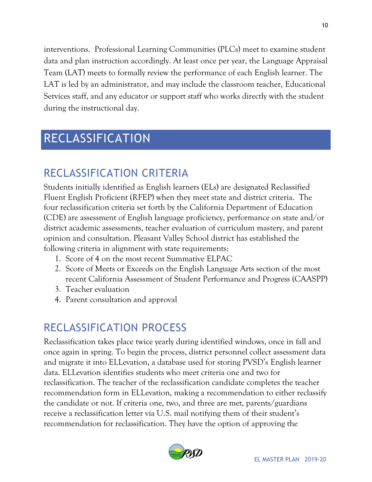interventions. Professional Learning Communities (PLCs) meet to examine student data and plan instruction accordingly. At least once per year, the Language Appraisal Team (LAT) meets to formally review the performance of each English learner. The LAT is led by an administrator, and may include the classroom teacher, Educational Services staff, and any educator or support staff who works directly with the student during the instructional day.

# RECLASSIFICATION

## RECLASSIFICATION CRITERIA

Students initially identified as English learners (ELs) are designated Reclassified Fluent English Proficient (RFEP) when they meet state and district criteria. The four reclassification criteria set forth by the California Department of Education (CDE) are assessment of English language proficiency, performance on state and/or district academic assessments, teacher evaluation of curriculum mastery, and parent opinion and consultation. Pleasant Valley School district has established the following criteria in alignment with state requirements:

- 1. Score of 4 on the most recent Summative ELPAC
- 2. Score of Meets or Exceeds on the English Language Arts section of the most recent California Assessment of Student Performance and Progress (CAASPP)
- 3. Teacher evaluation
- 4. Parent consultation and approval

# RECLASSIFICATION PROCESS

Reclassification takes place twice yearly during identified windows, once in fall and once again in spring. To begin the process, district personnel collect assessment data and migrate it into ELLevation, a database used for storing PVSD's English learner data. ELLevation identifies students who meet criteria one and two for reclassification. The teacher of the reclassification candidate completes the teacher recommendation form in ELLevation, making a recommendation to either reclassify the candidate or not. If criteria one, two, and three are met, parents/guardians receive a reclassification letter via U.S. mail notifying them of their student's recommendation for reclassification. They have the option of approving the

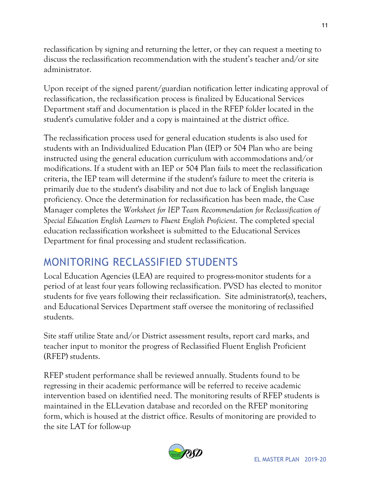reclassification by signing and returning the letter, or they can request a meeting to discuss the reclassification recommendation with the student's teacher and/or site administrator.

Upon receipt of the signed parent/guardian notification letter indicating approval of reclassification, the reclassification process is finalized by Educational Services Department staff and documentation is placed in the RFEP folder located in the student's cumulative folder and a copy is maintained at the district office.

The reclassification process used for general education students is also used for students with an Individualized Education Plan (IEP) or 504 Plan who are being instructed using the general education curriculum with accommodations and/or modifications. If a student with an IEP or 504 Plan fails to meet the reclassification criteria, the IEP team will determine if the student's failure to meet the criteria is primarily due to the student's disability and not due to lack of English language proficiency. Once the determination for reclassification has been made, the Case Manager completes the *Worksheet for IEP Team Recommendation for Reclassification of Special Education English Learners to Fluent English Proficient*. The completed special education reclassification worksheet is submitted to the Educational Services Department for final processing and student reclassification.

### MONITORING RECLASSIFIED STUDENTS

Local Education Agencies (LEA) are required to progress-monitor students for a period of at least four years following reclassification. PVSD has elected to monitor students for five years following their reclassification. Site administrator(s), teachers, and Educational Services Department staff oversee the monitoring of reclassified students.

Site staff utilize State and/or District assessment results, report card marks, and teacher input to monitor the progress of Reclassified Fluent English Proficient (RFEP) students.

RFEP student performance shall be reviewed annually. Students found to be regressing in their academic performance will be referred to receive academic intervention based on identified need. The monitoring results of RFEP students is maintained in the ELLevation database and recorded on the RFEP monitoring form, which is housed at the district office. Results of monitoring are provided to the site LAT for follow-up



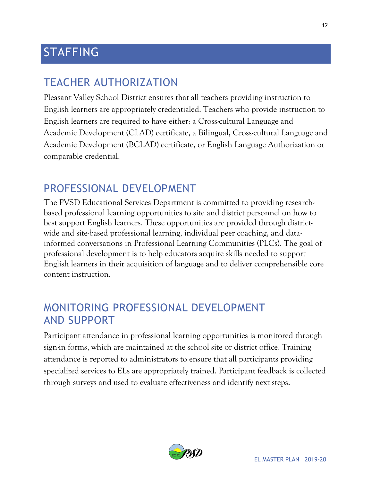# STAFFING

### TEACHER AUTHORIZATION

Pleasant Valley School District ensures that all teachers providing instruction to English learners are appropriately credentialed. Teachers who provide instruction to English learners are required to have either: a Cross-cultural Language and Academic Development (CLAD) certificate, a Bilingual, Cross-cultural Language and Academic Development (BCLAD) certificate, or English Language Authorization or comparable credential.

#### PROFESSIONAL DEVELOPMENT

The PVSD Educational Services Department is committed to providing researchbased professional learning opportunities to site and district personnel on how to best support English learners. These opportunities are provided through districtwide and site-based professional learning, individual peer coaching, and datainformed conversations in Professional Learning Communities (PLCs). The goal of professional development is to help educators acquire skills needed to support English learners in their acquisition of language and to deliver comprehensible core content instruction.

#### MONITORING PROFESSIONAL DEVELOPMENT AND SUPPORT

Participant attendance in professional learning opportunities is monitored through sign-in forms, which are maintained at the school site or district office. Training attendance is reported to administrators to ensure that all participants providing specialized services to ELs are appropriately trained. Participant feedback is collected through surveys and used to evaluate effectiveness and identify next steps.

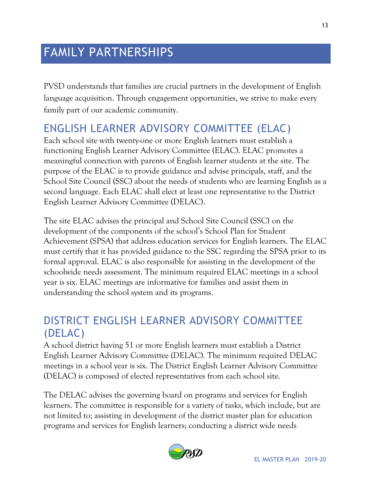# FAMILY PARTNERSHIPS

PVSD understands that families are crucial partners in the development of English language acquisition. Through engagement opportunities, we strive to make every family part of our academic community.

## ENGLISH LEARNER ADVISORY COMMITTEE (ELAC)

Each school site with twenty-one or more English learners must establish a functioning English Learner Advisory Committee (ELAC). ELAC promotes a meaningful connection with parents of English learner students at the site. The purpose of the ELAC is to provide guidance and advise principals, staff, and the School Site Council (SSC) about the needs of students who are learning English as a second language. Each ELAC shall elect at least one representative to the District English Learner Advisory Committee (DELAC).

The site ELAC advises the principal and School Site Council (SSC) on the development of the components of the school's School Plan for Student Achievement (SPSA) that address education services for English learners. The ELAC must certify that it has provided guidance to the SSC regarding the SPSA prior to its formal approval. ELAC is also responsible for assisting in the development of the schoolwide needs assessment. The minimum required ELAC meetings in a school year is six. ELAC meetings are informative for families and assist them in understanding the school system and its programs.

#### DISTRICT ENGLISH LEARNER ADVISORY COMMITTEE (DELAC)

A school district having 51 or more English learners must establish a District English Learner Advisory Committee (DELAC). The minimum required DELAC meetings in a school year is six. The District English Learner Advisory Committee (DELAC) is composed of elected representatives from each school site.

The DELAC advises the governing board on programs and services for English learners. The committee is responsible for a variety of tasks, which include, but are not limited to; assisting in development of the district master plan for education programs and services for English learners; conducting a district wide needs

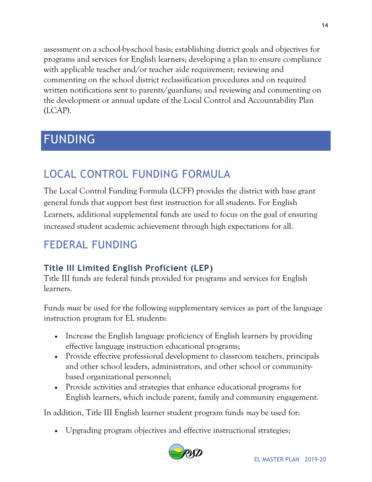assessment on a school-by-school basis; establishing district goals and objectives for programs and services for English learners; developing a plan to ensure compliance with applicable teacher and/or teacher aide requirement; reviewing and commenting on the school district reclassification procedures and on required written notifications sent to parents/guardians; and reviewing and commenting on the development or annual update of the Local Control and Accountability Plan (LCAP).

# FUNDING

# LOCAL CONTROL FUNDING FORMULA

The Local Control Funding Formula (LCFF) provides the district with base grant general funds that support best first instruction for all students. For English Learners, additional supplemental funds are used to focus on the goal of ensuring increased student academic achievement through high expectations for all.

# FEDERAL FUNDING

#### **Title III Limited English Proficient (LEP)**

Title III funds are federal funds provided for programs and services for English learners.

Funds *must* be used for the following supplementary services as part of the language instruction program for EL students:

- Increase the English language proficiency of English learners by providing effective language instruction educational programs;
- Provide effective professional development to classroom teachers, principals and other school leaders, administrators, and other school or communitybased organizational personnel;
- Provide activities and strategies that enhance educational programs for English learners, which include parent, family and community engagement.

In addition, Title III English learner student program funds *may* be used for:

Upgrading program objectives and effective instructional strategies;